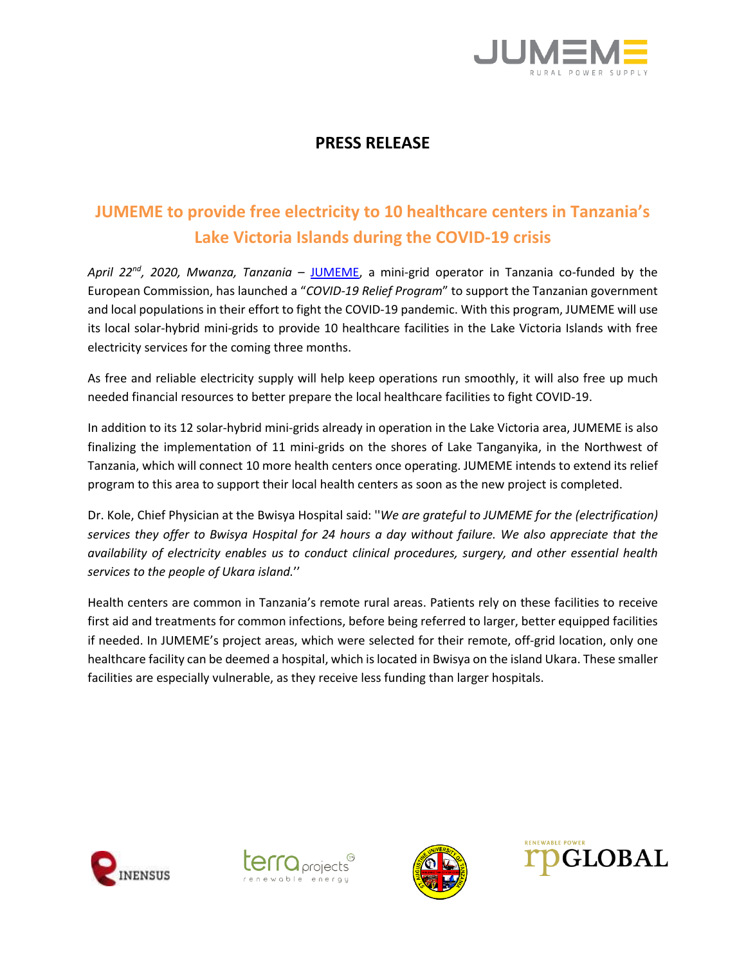

## **PRESS RELEASE**

# **JUMEME to provide free electricity to 10 healthcare centers in Tanzania's Lake Victoria Islands during the COVID-19 crisis**

*April 22nd , 2020, Mwanza, Tanzania* – [JUMEME,](http://www.jumeme.com/) a mini-grid operator in Tanzania co-funded by the European Commission, has launched a "*COVID-19 Relief Program*" to support the Tanzanian government and local populations in their effort to fight the COVID-19 pandemic. With this program, JUMEME will use its local solar-hybrid mini-grids to provide 10 healthcare facilities in the Lake Victoria Islands with free electricity services for the coming three months.

As free and reliable electricity supply will help keep operations run smoothly, it will also free up much needed financial resources to better prepare the local healthcare facilities to fight COVID-19.

In addition to its 12 solar-hybrid mini-grids already in operation in the Lake Victoria area, JUMEME is also finalizing the implementation of 11 mini-grids on the shores of Lake Tanganyika, in the Northwest of Tanzania, which will connect 10 more health centers once operating. JUMEME intends to extend its relief program to this area to support their local health centers as soon as the new project is completed.

Dr. Kole, Chief Physician at the Bwisya Hospital said: ''*We are grateful to JUMEME for the (electrification) services they offer to Bwisya Hospital for 24 hours a day without failure. We also appreciate that the availability of electricity enables us to conduct clinical procedures, surgery, and other essential health services to the people of Ukara island.*''

Health centers are common in Tanzania's remote rural areas. Patients rely on these facilities to receive first aid and treatments for common infections, before being referred to larger, better equipped facilities if needed. In JUMEME's project areas, which were selected for their remote, off-grid location, only one healthcare facility can be deemed a hospital, which is located in Bwisya on the island Ukara. These smaller facilities are especially vulnerable, as they receive less funding than larger hospitals.